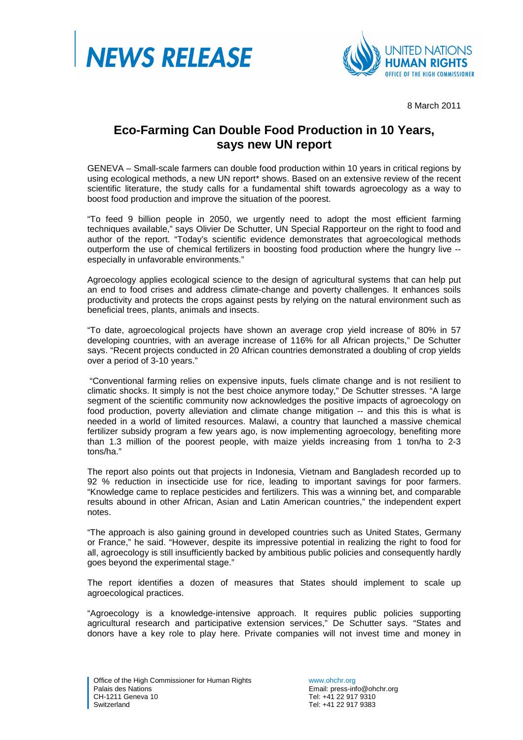



8 March 2011

## **Eco-Farming Can Double Food Production in 10 Years, says new UN report**

GENEVA – Small-scale farmers can double food production within 10 years in critical regions by using ecological methods, a new UN report\* shows. Based on an extensive review of the recent scientific literature, the study calls for a fundamental shift towards agroecology as a way to boost food production and improve the situation of the poorest.

"To feed 9 billion people in 2050, we urgently need to adopt the most efficient farming techniques available," says Olivier De Schutter, UN Special Rapporteur on the right to food and author of the report. "Today's scientific evidence demonstrates that agroecological methods outperform the use of chemical fertilizers in boosting food production where the hungry live - especially in unfavorable environments."

Agroecology applies ecological science to the design of agricultural systems that can help put an end to food crises and address climate-change and poverty challenges. It enhances soils productivity and protects the crops against pests by relying on the natural environment such as beneficial trees, plants, animals and insects.

"To date, agroecological projects have shown an average crop yield increase of 80% in 57 developing countries, with an average increase of 116% for all African projects," De Schutter says. "Recent projects conducted in 20 African countries demonstrated a doubling of crop yields over a period of 3-10 years."

 "Conventional farming relies on expensive inputs, fuels climate change and is not resilient to climatic shocks. It simply is not the best choice anymore today," De Schutter stresses. "A large segment of the scientific community now acknowledges the positive impacts of agroecology on food production, poverty alleviation and climate change mitigation -- and this this is what is needed in a world of limited resources. Malawi, a country that launched a massive chemical fertilizer subsidy program a few years ago, is now implementing agroecology, benefiting more than 1.3 million of the poorest people, with maize yields increasing from 1 ton/ha to 2-3 tons/ha."

The report also points out that projects in Indonesia, Vietnam and Bangladesh recorded up to 92 % reduction in insecticide use for rice, leading to important savings for poor farmers. "Knowledge came to replace pesticides and fertilizers. This was a winning bet, and comparable results abound in other African, Asian and Latin American countries," the independent expert notes.

"The approach is also gaining ground in developed countries such as United States, Germany or France," he said. "However, despite its impressive potential in realizing the right to food for all, agroecology is still insufficiently backed by ambitious public policies and consequently hardly goes beyond the experimental stage."

The report identifies a dozen of measures that States should implement to scale up agroecological practices.

"Agroecology is a knowledge-intensive approach. It requires public policies supporting agricultural research and participative extension services," De Schutter says. "States and donors have a key role to play here. Private companies will not invest time and money in